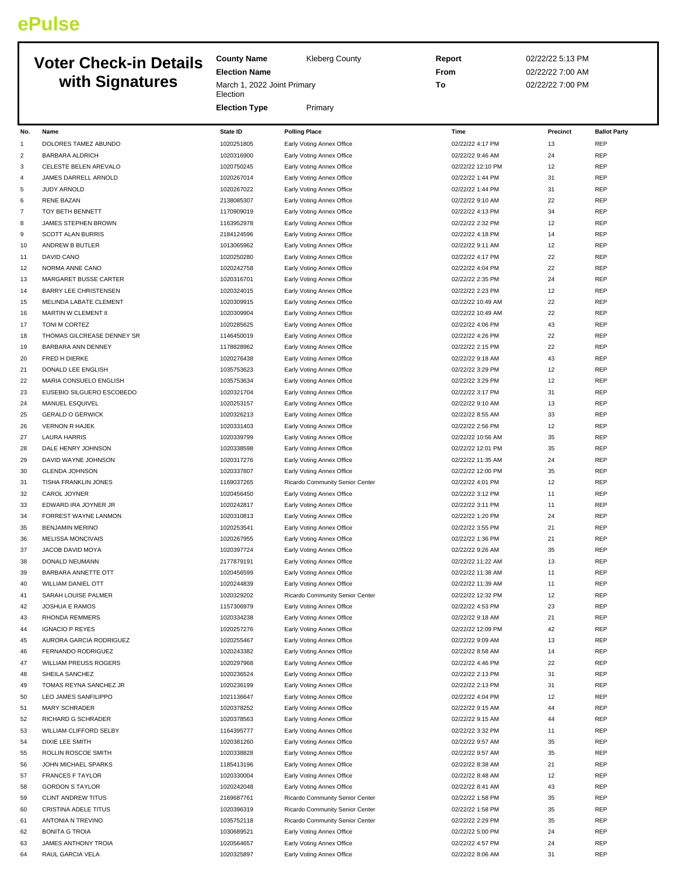## **ePulse**

## **Voter Check-in Details with Signatures**

| <b>Kleberg County</b> |
|-----------------------|
|-----------------------|

**Election Name** March 1, 2022 Joint Primary **Election Election Type** Primary

**County Name** 

**Report** 02/22/22 5:13 PM **From** 02/22/22 7:00 AM **To** 02/22/22 7:00 PM

| No.      | Name                                                    | <b>State ID</b>          | <b>Polling Place</b>                                   | Time                                 | Precinct | <b>Ballot Party</b> |
|----------|---------------------------------------------------------|--------------------------|--------------------------------------------------------|--------------------------------------|----------|---------------------|
| 1        | DOLORES TAMEZ ABUNDO                                    | 1020251805               | Early Voting Annex Office                              | 02/22/22 4:17 PM                     | 13       | REP                 |
| 2        | <b>BARBARA ALDRICH</b>                                  | 1020316900               | Early Voting Annex Office                              | 02/22/22 9:46 AM                     | 24       | REP                 |
| 3        | CELESTE BELEN AREVALO                                   | 1020750245               | Early Voting Annex Office                              | 02/22/22 12:10 PM                    | 12       | REP                 |
| 4        | JAMES DARRELL ARNOLD                                    | 1020267014               | Early Voting Annex Office                              | 02/22/22 1:44 PM                     | 31       | REP                 |
| 5        | <b>JUDY ARNOLD</b>                                      | 1020267022               | Early Voting Annex Office                              | 02/22/22 1:44 PM                     | 31       | REP                 |
| 6        | <b>RENE BAZAN</b>                                       | 2138085307               | Early Voting Annex Office                              | 02/22/22 9:10 AM                     | 22       | REP                 |
| 7        | TOY BETH BENNETT                                        | 1170909019               | Early Voting Annex Office                              | 02/22/22 4:13 PM                     | 34       | REP                 |
| 8        | JAMES STEPHEN BROWN                                     | 1163952978               | Early Voting Annex Office                              | 02/22/22 2:32 PM                     | 12       | REP                 |
| 9        | <b>SCOTT ALAN BURRIS</b>                                | 2184124596               | Early Voting Annex Office                              | 02/22/22 4:18 PM                     | 14       | REP                 |
| 10       | ANDREW B BUTLER                                         | 1013065962               | Early Voting Annex Office                              | 02/22/22 9:11 AM                     | 12       | REP                 |
| 11       | DAVID CANO                                              | 1020250280               | Early Voting Annex Office                              | 02/22/22 4:17 PM                     | 22       | REP                 |
| 12       | NORMA ANNE CANO                                         | 1020242758               | Early Voting Annex Office                              | 02/22/22 4:04 PM                     | 22       | REP                 |
| 13       | MARGARET BUSSE CARTER                                   | 1020316701               | Early Voting Annex Office                              | 02/22/22 2:35 PM                     | 24       | REP                 |
| 14       | <b>BARRY LEE CHRISTENSEN</b>                            | 1020324015               | Early Voting Annex Office                              | 02/22/22 2:23 PM                     | 12       | REP                 |
| 15       | MELINDA LABATE CLEMENT                                  | 1020309915               | Early Voting Annex Office                              | 02/22/22 10:49 AM                    | 22       | REP                 |
| 16       | MARTIN W CLEMENT II                                     | 1020309904               | Early Voting Annex Office                              | 02/22/22 10:49 AM                    | 22       | REP                 |
| 17       | TONI M CORTEZ                                           | 1020285625               | Early Voting Annex Office                              | 02/22/22 4:06 PM                     | 43       | REP                 |
| 18<br>19 | THOMAS GILCREASE DENNEY SR<br><b>BARBARA ANN DENNEY</b> | 1146450019<br>1178828962 | Early Voting Annex Office                              | 02/22/22 4:26 PM<br>02/22/22 2:15 PM | 22<br>22 | REP<br>REP          |
| 20       | FRED H DIERKE                                           | 1020276438               | Early Voting Annex Office<br>Early Voting Annex Office | 02/22/22 9:18 AM                     | 43       | REP                 |
| 21       | DONALD LEE ENGLISH                                      | 1035753623               | Early Voting Annex Office                              | 02/22/22 3:29 PM                     | 12       | REP                 |
| 22       | MARIA CONSUELO ENGLISH                                  | 1035753634               | Early Voting Annex Office                              | 02/22/22 3:29 PM                     | 12       | REP                 |
| 23       | EUSEBIO SILGUERO ESCOBEDO                               | 1020321704               | Early Voting Annex Office                              | 02/22/22 3:17 PM                     | 31       | REP                 |
| 24       | MANUEL ESQUIVEL                                         | 1020253157               | Early Voting Annex Office                              | 02/22/22 9:10 AM                     | 13       | REP                 |
| 25       | <b>GERALD O GERWICK</b>                                 | 1020326213               | Early Voting Annex Office                              | 02/22/22 8:55 AM                     | 33       | REP                 |
| 26       | <b>VERNON R HAJEK</b>                                   | 1020331403               | Early Voting Annex Office                              | 02/22/22 2:56 PM                     | 12       | <b>REP</b>          |
| 27       | <b>LAURA HARRIS</b>                                     | 1020339799               | Early Voting Annex Office                              | 02/22/22 10:56 AM                    | 35       | REP                 |
| 28       | DALE HENRY JOHNSON                                      | 1020338598               | Early Voting Annex Office                              | 02/22/22 12:01 PM                    | 35       | REP                 |
| 29       | DAVID WAYNE JOHNSON                                     | 1020317276               | Early Voting Annex Office                              | 02/22/22 11:35 AM                    | 24       | REP                 |
| 30       | <b>GLENDA JOHNSON</b>                                   | 1020337807               | Early Voting Annex Office                              | 02/22/22 12:00 PM                    | 35       | REP                 |
| 31       | TISHA FRANKLIN JONES                                    | 1169037265               | Ricardo Community Senior Center                        | 02/22/22 4:01 PM                     | 12       | REP                 |
| 32       | CAROL JOYNER                                            | 1020456450               | Early Voting Annex Office                              | 02/22/22 3:12 PM                     | 11       | REP                 |
| 33       | EDWARD IRA JOYNER JR                                    | 1020242817               | Early Voting Annex Office                              | 02/22/22 3:11 PM                     | 11       | REP                 |
| 34       | FORREST WAYNE LANMON                                    | 1020310813               | Early Voting Annex Office                              | 02/22/22 1:20 PM                     | 24       | REP                 |
| 35       | <b>BENJAMIN MERINO</b>                                  | 1020253541               | Early Voting Annex Office                              | 02/22/22 3:55 PM                     | 21       | REP                 |
| 36       | <b>MELISSA MONCIVAIS</b>                                | 1020267955               | Early Voting Annex Office                              | 02/22/22 1:36 PM                     | 21       | REP                 |
| 37       | JACOB DAVID MOYA                                        | 1020397724               | Early Voting Annex Office                              | 02/22/22 9:26 AM                     | 35       | REP                 |
| 38       | DONALD NEUMANN                                          | 2177879191               | Early Voting Annex Office                              | 02/22/22 11:22 AM                    | 13       | REP                 |
| 39       | BARBARA ANNETTE OTT                                     | 1020456599               | Early Voting Annex Office                              | 02/22/22 11:38 AM                    | 11       | REP                 |
| 40       | <b>WILLIAM DANIEL OTT</b>                               | 1020244839               | Early Voting Annex Office                              | 02/22/22 11:39 AM                    | 11       | REP                 |
| 41       | SARAH LOUISE PALMER                                     | 1020329202               | Ricardo Community Senior Center                        | 02/22/22 12:32 PM                    | 12       | REP                 |
| 42       | <b>JOSHUA E RAMOS</b>                                   | 1157306979               | Early Voting Annex Office                              | 02/22/22 4:53 PM                     | 23       | <b>REP</b>          |
| 43       | RHONDA REMMERS                                          | 1020334238               | Early Voting Annex Office                              | 02/22/22 9:18 AM                     | 21       | REP                 |
| 44       | <b>IGNACIO P REYES</b>                                  | 1020257276               | Early Voting Annex Office                              | 02/22/22 12:09 PM                    | 42       | REP                 |
| 45       | AURORA GARCIA RODRIGUEZ                                 | 1020255467               | Early Voting Annex Office                              | 02/22/22 9:09 AM                     | 13       | REP                 |
| 46       | FERNANDO RODRIGUEZ                                      | 1020243382               | Early Voting Annex Office                              | 02/22/22 8:58 AM                     | 14       | REP                 |
| 47       | <b>WILLIAM PREUSS ROGERS</b>                            | 1020297968               | Early Voting Annex Office                              | 02/22/22 4:46 PM                     | 22       | REP                 |
| 48       | SHEILA SANCHEZ                                          | 1020236524               | Early Voting Annex Office                              | 02/22/22 2:13 PM                     | 31       | REP                 |
| 49       | TOMAS REYNA SANCHEZ JR                                  | 1020236199               | Early Voting Annex Office                              | 02/22/22 2:13 PM                     | 31       | REP                 |
| 50       | LEO JAMES SANFILIPPO                                    | 1021136647               | Early Voting Annex Office                              | 02/22/22 4:04 PM                     | 12       | REP                 |
| 51       | MARY SCHRADER                                           | 1020378252               | Early Voting Annex Office                              | 02/22/22 9:15 AM                     | 44       | REP                 |
| 52       | RICHARD G SCHRADER                                      | 1020378563               | Early Voting Annex Office                              | 02/22/22 9:15 AM                     | 44       | REP                 |
| 53<br>54 | WILLIAM CLIFFORD SELBY                                  | 1164395777<br>1020381260 | Early Voting Annex Office                              | 02/22/22 3:32 PM                     | 11       | REP<br>REP          |
|          | DIXIE LEE SMITH                                         |                          | Early Voting Annex Office                              | 02/22/22 9:57 AM                     | 35<br>35 | REP                 |
| 55<br>56 | ROLLIN ROSCOE SMITH<br>JOHN MICHAEL SPARKS              | 1020338828<br>1185413196 | Early Voting Annex Office<br>Early Voting Annex Office | 02/22/22 9:57 AM<br>02/22/22 8:38 AM | 21       | REP                 |
| 57       | <b>FRANCES F TAYLOR</b>                                 | 1020330004               |                                                        | 02/22/22 8:48 AM                     | 12       | REP                 |
| 58       | <b>GORDON S TAYLOR</b>                                  | 1020242048               | Early Voting Annex Office<br>Early Voting Annex Office | 02/22/22 8:41 AM                     | 43       | REP                 |
| 59       | <b>CLINT ANDREW TITUS</b>                               | 2169687761               | Ricardo Community Senior Center                        | 02/22/22 1:58 PM                     | 35       | REP                 |
| 60       | CRISTINA ADELE TITUS                                    | 1020396319               | Ricardo Community Senior Center                        | 02/22/22 1:58 PM                     | 35       | REP                 |
| 61       | ANTONIA N TREVINO                                       | 1035752118               | Ricardo Community Senior Center                        | 02/22/22 2:29 PM                     | 35       | REP                 |
| 62       | <b>BONITA G TROIA</b>                                   | 1030689521               | Early Voting Annex Office                              | 02/22/22 5:00 PM                     | 24       | REP                 |
| 63       | JAMES ANTHONY TROIA                                     | 1020564657               | Early Voting Annex Office                              | 02/22/22 4:57 PM                     | 24       | REP                 |
| 64       | RAUL GARCIA VELA                                        | 1020325897               | Early Voting Annex Office                              | 02/22/22 8:06 AM                     | 31       | REP                 |
|          |                                                         |                          |                                                        |                                      |          |                     |